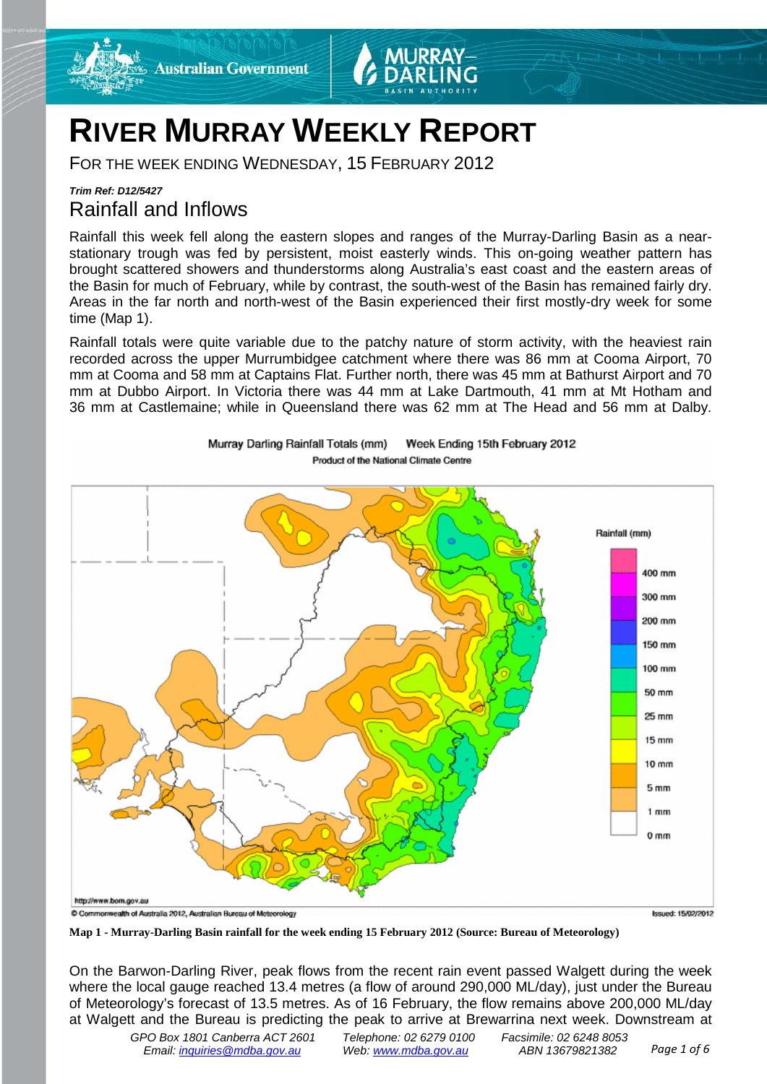

# **RIVER MURRAY WEEKLY REPORT**

FOR THE WEEK ENDING WEDNESDAY, 15 FEBRUARY 2012

## *Trim Ref: D12/5427* Rainfall and Inflows

Rainfall this week fell along the eastern slopes and ranges of the Murray-Darling Basin as a nearstationary trough was fed by persistent, moist easterly winds. This on-going weather pattern has brought scattered showers and thunderstorms along Australia's east coast and the eastern areas of the Basin for much of February, while by contrast, the south-west of the Basin has remained fairly dry. Areas in the far north and north-west of the Basin experienced their first mostly-dry week for some time (Map 1).

Rainfall totals were quite variable due to the patchy nature of storm activity, with the heaviest rain recorded across the upper Murrumbidgee catchment where there was 86 mm at Cooma Airport, 70 mm at Cooma and 58 mm at Captains Flat. Further north, there was 45 mm at Bathurst Airport and 70 mm at Dubbo Airport. In Victoria there was 44 mm at Lake Dartmouth, 41 mm at Mt Hotham and 36 mm at Castlemaine; while in Queensland there was 62 mm at The Head and 56 mm at Dalby.



Murray Darling Rainfall Totals (mm) Week Ending 15th February 2012 Product of the National Climate Centre

**Map 1 - Murray-Darling Basin rainfall for the week ending 15 February 2012 (Source: Bureau of Meteorology)**

On the Barwon-Darling River, peak flows from the recent rain event passed Walgett during the week where the local gauge reached 13.4 metres (a flow of around 290,000 ML/day), just under the Bureau of Meteorology's forecast of 13.5 metres. As of 16 February, the flow remains above 200,000 ML/day at Walgett and the Bureau is predicting the peak to arrive at Brewarrina next week. Downstream at

*GPO Box 1801 Canberra ACT 2601 Telephone: 02 6279 0100 Facsimile: 02 6248 8053 Email: [inquiries@mdba.gov.au](mailto:inquiries@mdba.gov.au) Web[: www.mdba.gov.au](http://www.mdba.gov.au/) ABN 13679821382 Page 1 of 6*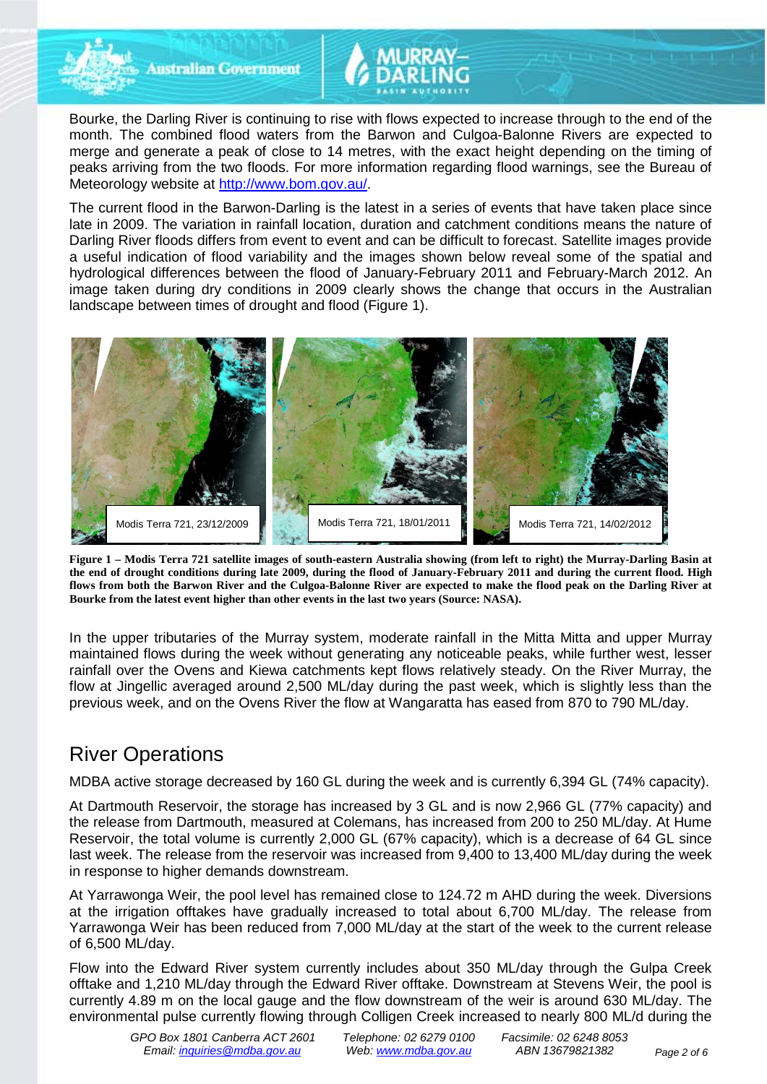

**Australian Government** 

Bourke, the Darling River is continuing to rise with flows expected to increase through to the end of the month. The combined flood waters from the Barwon and Culgoa-Balonne Rivers are expected to merge and generate a peak of close to 14 metres, with the exact height depending on the timing of peaks arriving from the two floods. For more information regarding flood warnings, see the Bureau of Meteorology website at [http://www.bom.gov.au/.](http://www.bom.gov.au/)

The current flood in the Barwon-Darling is the latest in a series of events that have taken place since late in 2009. The variation in rainfall location, duration and catchment conditions means the nature of Darling River floods differs from event to event and can be difficult to forecast. Satellite images provide a useful indication of flood variability and the images shown below reveal some of the spatial and hydrological differences between the flood of January-February 2011 and February-March 2012. An image taken during dry conditions in 2009 clearly shows the change that occurs in the Australian landscape between times of drought and flood (Figure 1).



**Figure 1 – Modis Terra 721 satellite images of south-eastern Australia showing (from left to right) the Murray-Darling Basin at the end of drought conditions during late 2009, during the flood of January-February 2011 and during the current flood. High flows from both the Barwon River and the Culgoa-Balonne River are expected to make the flood peak on the Darling River at Bourke from the latest event higher than other events in the last two years (Source: NASA).**

In the upper tributaries of the Murray system, moderate rainfall in the Mitta Mitta and upper Murray maintained flows during the week without generating any noticeable peaks, while further west, lesser rainfall over the Ovens and Kiewa catchments kept flows relatively steady. On the River Murray, the flow at Jingellic averaged around 2,500 ML/day during the past week, which is slightly less than the previous week, and on the Ovens River the flow at Wangaratta has eased from 870 to 790 ML/day.

# River Operations

MDBA active storage decreased by 160 GL during the week and is currently 6,394 GL (74% capacity).

At Dartmouth Reservoir, the storage has increased by 3 GL and is now 2,966 GL (77% capacity) and the release from Dartmouth, measured at Colemans, has increased from 200 to 250 ML/day. At Hume Reservoir, the total volume is currently 2,000 GL (67% capacity), which is a decrease of 64 GL since last week. The release from the reservoir was increased from 9,400 to 13,400 ML/day during the week in response to higher demands downstream.

At Yarrawonga Weir, the pool level has remained close to 124.72 m AHD during the week. Diversions at the irrigation offtakes have gradually increased to total about 6,700 ML/day. The release from Yarrawonga Weir has been reduced from 7,000 ML/day at the start of the week to the current release of 6,500 ML/day.

Flow into the Edward River system currently includes about 350 ML/day through the Gulpa Creek offtake and 1,210 ML/day through the Edward River offtake. Downstream at Stevens Weir, the pool is currently 4.89 m on the local gauge and the flow downstream of the weir is around 630 ML/day. The environmental pulse currently flowing through Colligen Creek increased to nearly 800 ML/d during the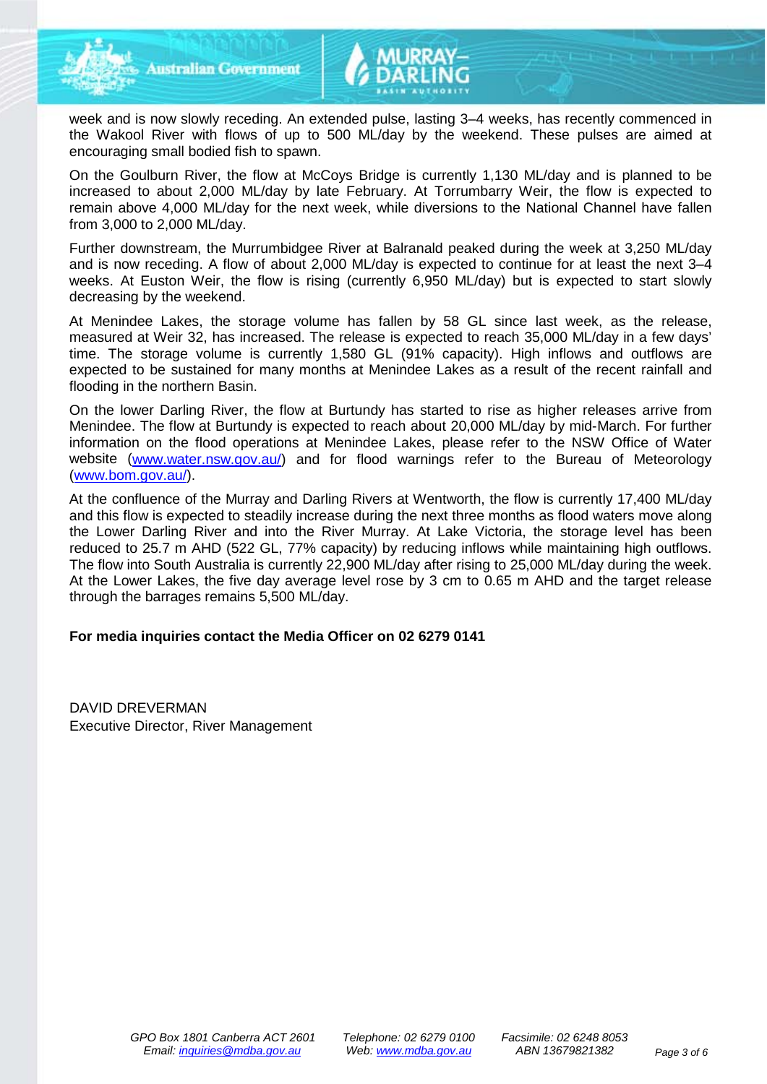

week and is now slowly receding. An extended pulse, lasting 3–4 weeks, has recently commenced in the Wakool River with flows of up to 500 ML/day by the weekend. These pulses are aimed at encouraging small bodied fish to spawn.

On the Goulburn River, the flow at McCoys Bridge is currently 1,130 ML/day and is planned to be increased to about 2,000 ML/day by late February. At Torrumbarry Weir, the flow is expected to remain above 4,000 ML/day for the next week, while diversions to the National Channel have fallen from 3,000 to 2,000 ML/day.

Further downstream, the Murrumbidgee River at Balranald peaked during the week at 3,250 ML/day and is now receding. A flow of about 2,000 ML/day is expected to continue for at least the next 3–4 weeks. At Euston Weir, the flow is rising (currently 6,950 ML/day) but is expected to start slowly decreasing by the weekend.

At Menindee Lakes, the storage volume has fallen by 58 GL since last week, as the release, measured at Weir 32, has increased. The release is expected to reach 35,000 ML/day in a few days' time. The storage volume is currently 1,580 GL (91% capacity). High inflows and outflows are expected to be sustained for many months at Menindee Lakes as a result of the recent rainfall and flooding in the northern Basin.

On the lower Darling River, the flow at Burtundy has started to rise as higher releases arrive from Menindee. The flow at Burtundy is expected to reach about 20,000 ML/day by mid-March. For further information on the flood operations at Menindee Lakes, please refer to the NSW Office of Water website (www.water.nsw.gov.au/) and for flood warnings refer to the Bureau of Meteorology (www.bom.gov.au/).

At the confluence of the Murray and Darling Rivers at Wentworth, the flow is currently 17,400 ML/day and this flow is expected to steadily increase during the next three months as flood waters move along the Lower Darling River and into the River Murray. At Lake Victoria, the storage level has been reduced to 25.7 m AHD (522 GL, 77% capacity) by reducing inflows while maintaining high outflows. The flow into South Australia is currently 22,900 ML/day after rising to 25,000 ML/day during the week. At the Lower Lakes, the five day average level rose by 3 cm to 0.65 m AHD and the target release through the barrages remains 5,500 ML/day.

#### **For media inquiries contact the Media Officer on 02 6279 0141**

DAVID DREVERMAN Executive Director, River Management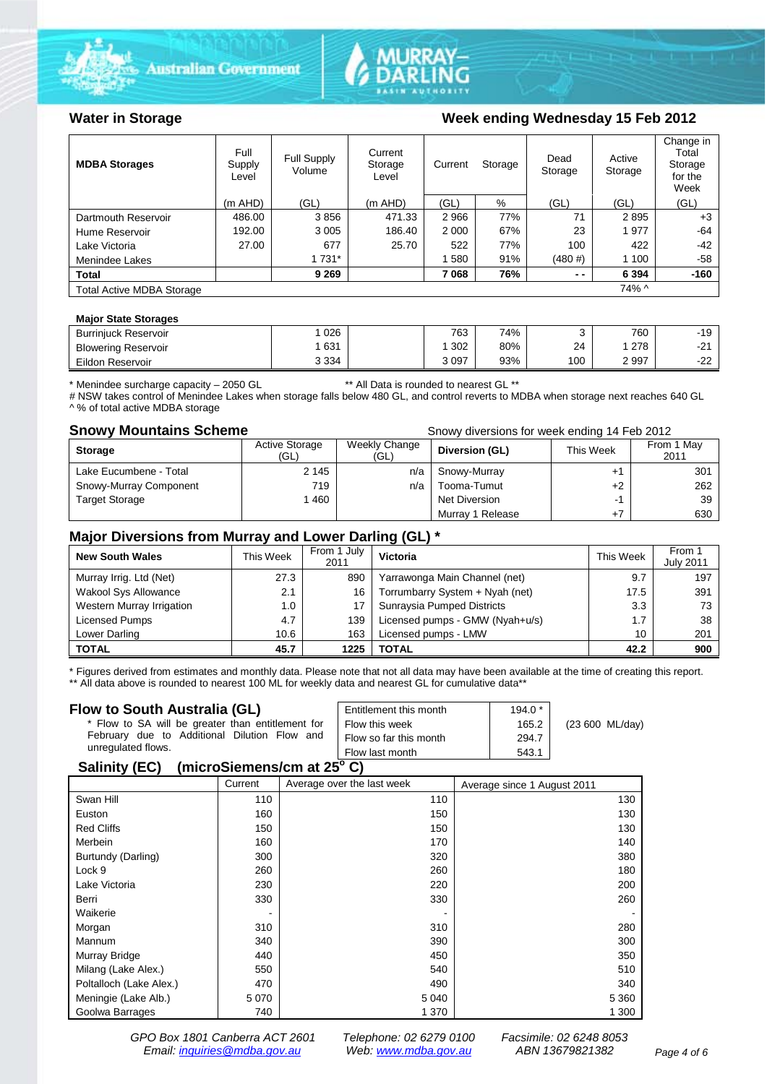





### Water in Storage Week ending Wednesday 15 Feb 2012

| <b>MDBA Storages</b>             | Full<br>Supply<br>Level | Full Supply<br>Volume | Current<br>Storage<br>Level | Current | Storage | Dead<br>Storage | Active<br>Storage | Change in<br>Total<br>Storage<br>for the<br>Week |
|----------------------------------|-------------------------|-----------------------|-----------------------------|---------|---------|-----------------|-------------------|--------------------------------------------------|
|                                  | $(m$ AHD)               | (GL)                  | $(m$ AHD)                   | (GL)    | %       | (GL)            | (GL)              | (GL)                                             |
| Dartmouth Reservoir              | 486.00                  | 3856                  | 471.33                      | 2966    | 77%     | 71              | 2895              | $+3$                                             |
| Hume Reservoir                   | 192.00                  | 3 0 0 5               | 186.40                      | 2 0 0 0 | 67%     | 23              | 1977              | $-64$                                            |
| Lake Victoria                    | 27.00                   | 677                   | 25.70                       | 522     | 77%     | 100             | 422               | $-42$                                            |
| Menindee Lakes                   |                         | 1 731*                |                             | 580     | 91%     | (480#)          | 1 100             | $-58$                                            |
| <b>Total</b>                     |                         | 9 2 6 9               |                             | 7068    | 76%     | $ -$            | 6 3 9 4           | $-160$                                           |
| <b>Total Active MDBA Storage</b> |                         |                       |                             |         |         |                 | 74% ^             |                                                  |

#### **Major State Storages**

| <b>Burrinjuck Reservoir</b> | 026     | 763  | 74% |     | 760  | $-19$           |
|-----------------------------|---------|------|-----|-----|------|-----------------|
| <b>Blowering Reservoir</b>  | 631     | 302  | 80% | 24  | 278  | n,<br>- -       |
| Eildon Reservoir            | 3 3 3 4 | 3097 | 93% | 100 | 2997 | $\sim$<br>ے ہے۔ |

\* Menindee surcharge capacity – 2050 GL \*\* All Data is rounded to nearest GL \*\*

# NSW takes control of Menindee Lakes when storage falls below 480 GL, and control reverts to MDBA when storage next reaches 640 GL ^ % of total active MDBA storage

**Snowy Mountains Scheme Snowy diversions for week ending 14 Feb 2012** 

| <b>Storage</b>         | <b>Active Storage</b><br>(GL) | Weekly Change<br>(GL) | Diversion (GL)   | This Week | From 1 May<br>2011 |
|------------------------|-------------------------------|-----------------------|------------------|-----------|--------------------|
| Lake Eucumbene - Total | 2 1 4 5                       | n/a                   | Snowy-Murray     |           | 301                |
| Snowy-Murray Component | 719                           | n/a                   | Tooma-Tumut      | $+2$      | 262                |
| <b>Target Storage</b>  | 1460                          |                       | Net Diversion    | ÷         | 39                 |
|                        |                               |                       | Murray 1 Release |           | 630                |

### **Major Diversions from Murray and Lower Darling (GL) \***

| <b>New South Wales</b>    | This Week | From 1 July<br>2011 | Victoria                        | This Week | From 1<br><b>July 2011</b> |
|---------------------------|-----------|---------------------|---------------------------------|-----------|----------------------------|
| Murray Irrig. Ltd (Net)   | 27.3      | 890                 | Yarrawonga Main Channel (net)   | 9.7       | 197                        |
| Wakool Sys Allowance      | 2.1       | 16                  | Torrumbarry System + Nyah (net) | 17.5      | 391                        |
| Western Murray Irrigation | 1.0       | 17                  | Sunraysia Pumped Districts      | 3.3       | 73                         |
| Licensed Pumps            | 4.7       | 139                 | Licensed pumps - GMW (Nyah+u/s) | 1.7       | 38                         |
| Lower Darling             | 10.6      | 163                 | Licensed pumps - LMW            | 10        | 201                        |
| <b>TOTAL</b>              | 45.7      | 1225                | TOTAL                           | 42.2      | 900                        |

\* Figures derived from estimates and monthly data. Please note that not all data may have been available at the time of creating this report. \*\* All data above is rounded to nearest 100 ML for weekly data and nearest GL for cumulative data\*\*

#### **Flow to South Australia (GL)**

| Flow to South Australia (GL)                      | Entitlement this month | $194.0*$ | $(23 600 \text{ ML/day})$ |
|---------------------------------------------------|------------------------|----------|---------------------------|
| * Flow to SA will be greater than entitlement for | Flow this week         | 165.2    |                           |
| February due to Additional Dilution Flow and      | Flow so far this month | 294.7    |                           |
| unregulated flows.                                | Flow last month        | 543.1    |                           |
| (miono<br>$C_{\mathcal{L}}$                       |                        |          |                           |

#### **Salinity (EC) (microSiemens/cm at 25o C)**

|                         | Current | Average over the last week | Average since 1 August 2011 |
|-------------------------|---------|----------------------------|-----------------------------|
| Swan Hill               | 110     | 110                        | 130                         |
| Euston                  | 160     | 150                        | 130                         |
| <b>Red Cliffs</b>       | 150     | 150                        | 130                         |
| Merbein                 | 160     | 170                        | 140                         |
| Burtundy (Darling)      | 300     | 320                        | 380                         |
| Lock 9                  | 260     | 260                        | 180                         |
| Lake Victoria           | 230     | 220                        | 200                         |
| Berri                   | 330     | 330                        | 260                         |
| Waikerie                |         |                            |                             |
| Morgan                  | 310     | 310                        | 280                         |
| Mannum                  | 340     | 390                        | 300                         |
| Murray Bridge           | 440     | 450                        | 350                         |
| Milang (Lake Alex.)     | 550     | 540                        | 510                         |
| Poltalloch (Lake Alex.) | 470     | 490                        | 340                         |
| Meningie (Lake Alb.)    | 5 0 7 0 | 5 0 4 0                    | 5 3 6 0                     |
| Goolwa Barrages         | 740     | 1 370                      | 1 300                       |

*GPO Box 1801 Canberra ACT 2601 Telephone: 02 6279 0100 Facsimile: 02 6248 8053 Email: [inquiries@mdba.gov.au](mailto:inquiries@mdba.gov.au) Web: [www.mdba.gov.au](http://www.mdba.gov.au/) ABN 13679821382 Page 4 of 6*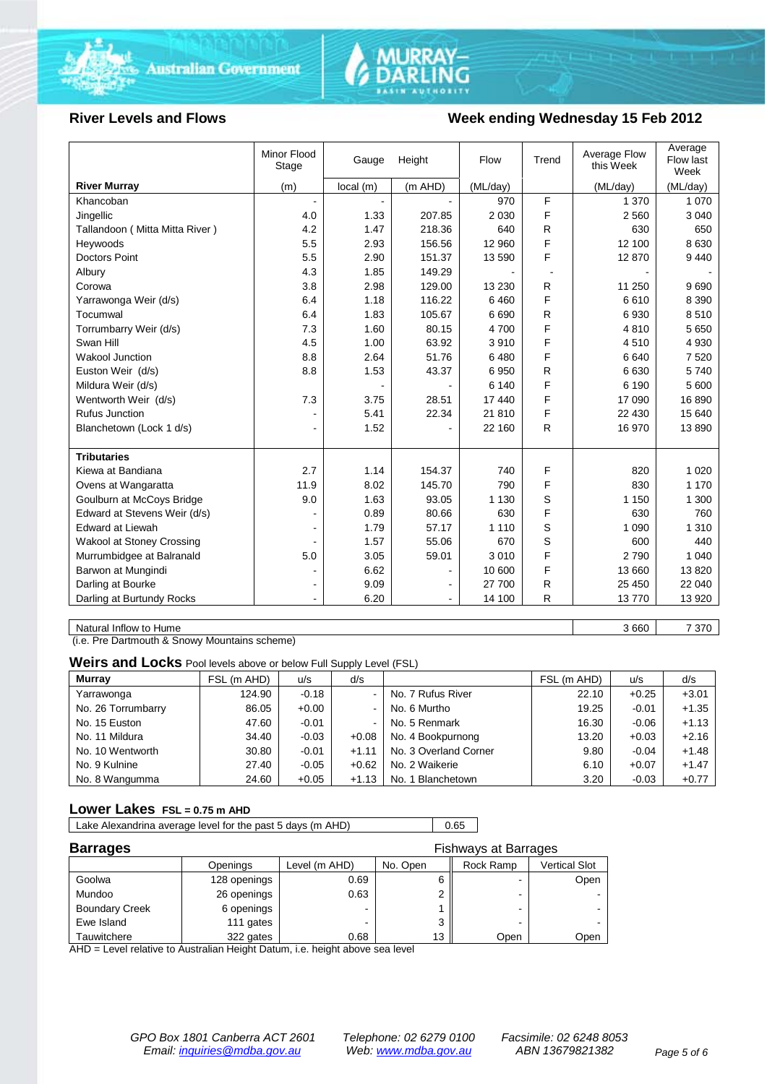



#### **River Levels and Flows Week ending Wednesday 15 Feb 2012**

|                                  | Minor Flood<br>Stage | Gauge    | Height  | Flow     | Trend | Average Flow<br>this Week | Average<br>Flow last<br>Week |
|----------------------------------|----------------------|----------|---------|----------|-------|---------------------------|------------------------------|
| <b>River Murray</b>              | (m)                  | local(m) | (m AHD) | (ML/day) |       | (ML/day)                  | (ML/day)                     |
| Khancoban                        |                      |          |         | 970      | F     | 1 370                     | 1 0 7 0                      |
| Jingellic                        | 4.0                  | 1.33     | 207.85  | 2 0 3 0  | F     | 2 5 6 0                   | 3 0 4 0                      |
| Tallandoon (Mitta Mitta River)   | 4.2                  | 1.47     | 218.36  | 640      | R.    | 630                       | 650                          |
| Heywoods                         | 5.5                  | 2.93     | 156.56  | 12 960   | F     | 12 100                    | 8 6 3 0                      |
| <b>Doctors Point</b>             | 5.5                  | 2.90     | 151.37  | 13 590   | F     | 12870                     | 9 4 4 0                      |
| Albury                           | 4.3                  | 1.85     | 149.29  |          |       |                           |                              |
| Corowa                           | 3.8                  | 2.98     | 129.00  | 13 2 30  | R     | 11 250                    | 9690                         |
| Yarrawonga Weir (d/s)            | 6.4                  | 1.18     | 116.22  | 6460     | F     | 6610                      | 8 3 9 0                      |
| Tocumwal                         | 6.4                  | 1.83     | 105.67  | 6690     | R     | 6930                      | 8510                         |
| Torrumbarry Weir (d/s)           | 7.3                  | 1.60     | 80.15   | 4700     | F     | 4810                      | 5 6 5 0                      |
| Swan Hill                        | 4.5                  | 1.00     | 63.92   | 3910     | F     | 4510                      | 4 9 3 0                      |
| <b>Wakool Junction</b>           | 8.8                  | 2.64     | 51.76   | 6480     | F     | 6640                      | 7 5 20                       |
| Euston Weir (d/s)                | 8.8                  | 1.53     | 43.37   | 6950     | R     | 6630                      | 5740                         |
| Mildura Weir (d/s)               |                      |          |         | 6 140    | F     | 6 1 9 0                   | 5 600                        |
| Wentworth Weir (d/s)             | 7.3                  | 3.75     | 28.51   | 17 440   | F     | 17 090                    | 16890                        |
| <b>Rufus Junction</b>            |                      | 5.41     | 22.34   | 21 810   | F     | 22 430                    | 15 640                       |
| Blanchetown (Lock 1 d/s)         | ۰                    | 1.52     |         | 22 160   | R     | 16 970                    | 13890                        |
|                                  |                      |          |         |          |       |                           |                              |
| <b>Tributaries</b>               |                      |          |         |          |       |                           |                              |
| Kiewa at Bandiana                | 2.7                  | 1.14     | 154.37  | 740      | F     | 820                       | 1 0 2 0                      |
| Ovens at Wangaratta              | 11.9                 | 8.02     | 145.70  | 790      | F     | 830                       | 1 1 7 0                      |
| Goulburn at McCoys Bridge        | 9.0                  | 1.63     | 93.05   | 1 1 3 0  | S     | 1 1 5 0                   | 1 300                        |
| Edward at Stevens Weir (d/s)     |                      | 0.89     | 80.66   | 630      | F     | 630                       | 760                          |
| <b>Edward at Liewah</b>          |                      | 1.79     | 57.17   | 1 1 1 0  | S     | 1 0 9 0                   | 1 3 1 0                      |
| <b>Wakool at Stoney Crossing</b> |                      | 1.57     | 55.06   | 670      | S     | 600                       | 440                          |
| Murrumbidgee at Balranald        | 5.0                  | 3.05     | 59.01   | 3010     | F     | 2790                      | 1 0 4 0                      |
| Barwon at Mungindi               |                      | 6.62     |         | 10 600   | F     | 13 660                    | 13820                        |
| Darling at Bourke                | $\blacksquare$       | 9.09     |         | 27 700   | R     | 25 450                    | 22 040                       |
| Darling at Burtundy Rocks        |                      | 6.20     |         | 14 100   | R     | 13770                     | 13 9 20                      |

Natural Inflow to Hume 3 660 7 370

(i.e. Pre Dartmouth & Snowy Mountains scheme)

**Weirs and Locks** Pool levels above or below Full Supply Level (FSL)

| <b>Murray</b>      | FSL (m AHD) | u/s     | d/s                      |                       | FSL (m AHD) | u/s     | d/s     |
|--------------------|-------------|---------|--------------------------|-----------------------|-------------|---------|---------|
| Yarrawonga         | 124.90      | $-0.18$ | $\overline{\phantom{0}}$ | No. 7 Rufus River     | 22.10       | $+0.25$ | $+3.01$ |
| No. 26 Torrumbarry | 86.05       | $+0.00$ | $\blacksquare$           | No. 6 Murtho          | 19.25       | $-0.01$ | $+1.35$ |
| No. 15 Euston      | 47.60       | $-0.01$ | $\blacksquare$           | No. 5 Renmark         | 16.30       | $-0.06$ | $+1.13$ |
| No. 11 Mildura     | 34.40       | $-0.03$ | $+0.08$                  | No. 4 Bookpurnong     | 13.20       | $+0.03$ | $+2.16$ |
| No. 10 Wentworth   | 30.80       | $-0.01$ | $+1.11$                  | No. 3 Overland Corner | 9.80        | $-0.04$ | $+1.48$ |
| No. 9 Kulnine      | 27.40       | $-0.05$ | $+0.62$                  | No. 2 Waikerie        | 6.10        | $+0.07$ | $+1.47$ |
| No. 8 Wangumma     | 24.60       | $+0.05$ | $+1.13$                  | No. 1 Blanchetown     | 3.20        | $-0.03$ | $+0.77$ |

#### **Lower Lakes FSL = 0.75 m AHD**

Lake Alexandrina average level for the past 5 days (m AHD) 0.65

| <b>Barrages</b><br><b>Fishways at Barrages</b> |              |               |          |                          |               |
|------------------------------------------------|--------------|---------------|----------|--------------------------|---------------|
|                                                | Openings     | Level (m AHD) | No. Open | Rock Ramp                | Vertical Slot |
| Goolwa                                         | 128 openings | 0.69          |          | $\overline{\phantom{0}}$ | Open          |
| Mundoo                                         | 26 openings  | 0.63          |          | -                        |               |
| <b>Boundary Creek</b>                          | 6 openings   |               |          | -                        |               |
| Ewe Island                                     | 111 gates    |               |          |                          |               |
| Tauwitchere                                    | 322 gates    | 0.68          | 13       | Open                     | Open          |

AHD = Level relative to Australian Height Datum, i.e. height above sea level